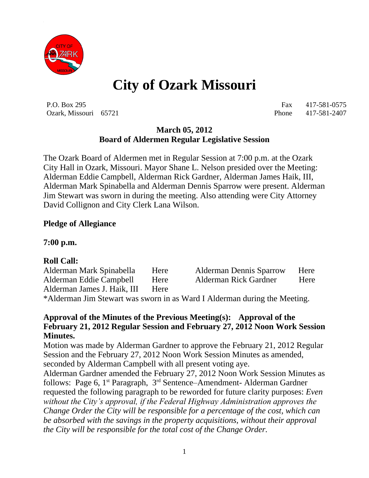

# **City of Ozark Missouri**

P.O. Box 295 Fax 417-581-0575 Ozark, Missouri 65721 Phone 417-581-2407

## **March 05, 2012 Board of Aldermen Regular Legislative Session**

The Ozark Board of Aldermen met in Regular Session at 7:00 p.m. at the Ozark City Hall in Ozark, Missouri. Mayor Shane L. Nelson presided over the Meeting: Alderman Eddie Campbell, Alderman Rick Gardner, Alderman James Haik, III, Alderman Mark Spinabella and Alderman Dennis Sparrow were present. Alderman Jim Stewart was sworn in during the meeting. Also attending were City Attorney David Collignon and City Clerk Lana Wilson.

## **Pledge of Allegiance**

**7:00 p.m.**

## **Roll Call:**

Alderman Mark Spinabella Here Alderman Dennis Sparrow Here Alderman Eddie Campbell Here Alderman Rick Gardner Here Alderman James J. Haik, III Here

\*Alderman Jim Stewart was sworn in as Ward I Alderman during the Meeting.

#### **Approval of the Minutes of the Previous Meeting(s): Approval of the February 21, 2012 Regular Session and February 27, 2012 Noon Work Session Minutes.**

Motion was made by Alderman Gardner to approve the February 21, 2012 Regular Session and the February 27, 2012 Noon Work Session Minutes as amended, seconded by Alderman Campbell with all present voting aye.

Alderman Gardner amended the February 27, 2012 Noon Work Session Minutes as follows: Page 6, 1<sup>st</sup> Paragraph, 3<sup>rd</sup> Sentence–Amendment- Alderman Gardner requested the following paragraph to be reworded for future clarity purposes: *Even without the City's approval, if the Federal Highway Administration approves the Change Order the City will be responsible for a percentage of the cost, which can be absorbed with the savings in the property acquisitions, without their approval the City will be responsible for the total cost of the Change Order.*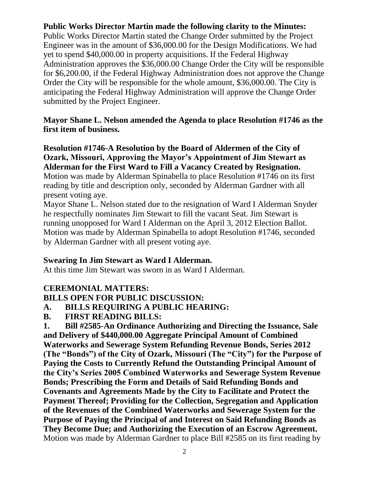## **Public Works Director Martin made the following clarity to the Minutes:**

Public Works Director Martin stated the Change Order submitted by the Project Engineer was in the amount of \$36,000.00 for the Design Modifications. We had yet to spend \$40,000.00 in property acquisitions. If the Federal Highway Administration approves the \$36,000.00 Change Order the City will be responsible for \$6,200.00, if the Federal Highway Administration does not approve the Change Order the City will be responsible for the whole amount, \$36,000.00. The City is anticipating the Federal Highway Administration will approve the Change Order submitted by the Project Engineer.

#### **Mayor Shane L. Nelson amended the Agenda to place Resolution #1746 as the first item of business.**

**Resolution #1746-A Resolution by the Board of Aldermen of the City of Ozark, Missouri, Approving the Mayor's Appointment of Jim Stewart as Alderman for the First Ward to Fill a Vacancy Created by Resignation.** Motion was made by Alderman Spinabella to place Resolution #1746 on its first reading by title and description only, seconded by Alderman Gardner with all present voting aye.

Mayor Shane L. Nelson stated due to the resignation of Ward I Alderman Snyder he respectfully nominates Jim Stewart to fill the vacant Seat. Jim Stewart is running unopposed for Ward I Alderman on the April 3, 2012 Election Ballot. Motion was made by Alderman Spinabella to adopt Resolution #1746, seconded by Alderman Gardner with all present voting aye.

## **Swearing In Jim Stewart as Ward I Alderman.**

At this time Jim Stewart was sworn in as Ward I Alderman.

# **CEREMONIAL MATTERS:**

## **BILLS OPEN FOR PUBLIC DISCUSSION:**

# **A. BILLS REQUIRING A PUBLIC HEARING:**

**B. FIRST READING BILLS:**

**1. Bill #2585-An Ordinance Authorizing and Directing the Issuance, Sale and Delivery of \$440,000.00 Aggregate Principal Amount of Combined Waterworks and Sewerage System Refunding Revenue Bonds, Series 2012 (The "Bonds") of the City of Ozark, Missouri (The "City") for the Purpose of Paying the Costs to Currently Refund the Outstanding Principal Amount of the City's Series 2005 Combined Waterworks and Sewerage System Revenue Bonds; Prescribing the Form and Details of Said Refunding Bonds and Covenants and Agreements Made by the City to Facilitate and Protect the Payment Thereof; Providing for the Collection, Segregation and Application of the Revenues of the Combined Waterworks and Sewerage System for the Purpose of Paying the Principal of and Interest on Said Refunding Bonds as They Become Due; and Authorizing the Execution of an Escrow Agreement.** Motion was made by Alderman Gardner to place Bill #2585 on its first reading by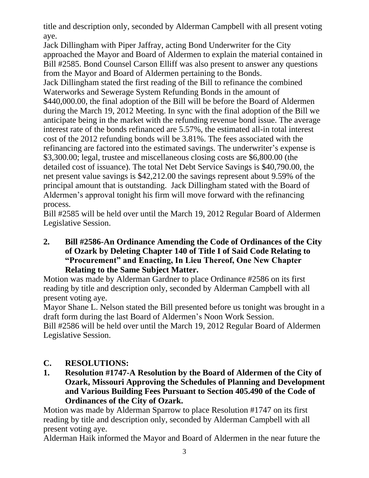title and description only, seconded by Alderman Campbell with all present voting aye.

Jack Dillingham with Piper Jaffray, acting Bond Underwriter for the City approached the Mayor and Board of Aldermen to explain the material contained in Bill #2585. Bond Counsel Carson Elliff was also present to answer any questions from the Mayor and Board of Aldermen pertaining to the Bonds.

Jack Dillingham stated the first reading of the Bill to refinance the combined Waterworks and Sewerage System Refunding Bonds in the amount of \$440,000.00, the final adoption of the Bill will be before the Board of Aldermen during the March 19, 2012 Meeting. In sync with the final adoption of the Bill we anticipate being in the market with the refunding revenue bond issue. The average interest rate of the bonds refinanced are 5.57%, the estimated all-in total interest cost of the 2012 refunding bonds will be 3.81%. The fees associated with the refinancing are factored into the estimated savings. The underwriter's expense is \$3,300.00; legal, trustee and miscellaneous closing costs are \$6,800.00 (the detailed cost of issuance). The total Net Debt Service Savings is \$40,790.00, the net present value savings is \$42,212.00 the savings represent about 9.59% of the principal amount that is outstanding. Jack Dillingham stated with the Board of Aldermen's approval tonight his firm will move forward with the refinancing process.

Bill #2585 will be held over until the March 19, 2012 Regular Board of Aldermen Legislative Session.

**2. Bill #2586-An Ordinance Amending the Code of Ordinances of the City of Ozark by Deleting Chapter 140 of Title I of Said Code Relating to "Procurement" and Enacting, In Lieu Thereof, One New Chapter Relating to the Same Subject Matter.**

Motion was made by Alderman Gardner to place Ordinance #2586 on its first reading by title and description only, seconded by Alderman Campbell with all present voting aye.

Mayor Shane L. Nelson stated the Bill presented before us tonight was brought in a draft form during the last Board of Aldermen's Noon Work Session. Bill #2586 will be held over until the March 19, 2012 Regular Board of Aldermen Legislative Session.

## **C. RESOLUTIONS:**

**1. Resolution #1747-A Resolution by the Board of Aldermen of the City of Ozark, Missouri Approving the Schedules of Planning and Development and Various Building Fees Pursuant to Section 405.490 of the Code of Ordinances of the City of Ozark.**

Motion was made by Alderman Sparrow to place Resolution #1747 on its first reading by title and description only, seconded by Alderman Campbell with all present voting aye.

Alderman Haik informed the Mayor and Board of Aldermen in the near future the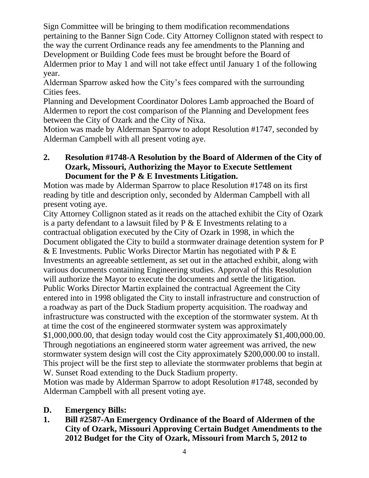Sign Committee will be bringing to them modification recommendations pertaining to the Banner Sign Code. City Attorney Collignon stated with respect to the way the current Ordinance reads any fee amendments to the Planning and Development or Building Code fees must be brought before the Board of Aldermen prior to May 1 and will not take effect until January 1 of the following year.

Alderman Sparrow asked how the City's fees compared with the surrounding Cities fees.

Planning and Development Coordinator Dolores Lamb approached the Board of Aldermen to report the cost comparison of the Planning and Development fees between the City of Ozark and the City of Nixa.

Motion was made by Alderman Sparrow to adopt Resolution #1747, seconded by Alderman Campbell with all present voting aye.

#### **2. Resolution #1748-A Resolution by the Board of Aldermen of the City of Ozark, Missouri, Authorizing the Mayor to Execute Settlement Document for the P & E Investments Litigation.**

Motion was made by Alderman Sparrow to place Resolution #1748 on its first reading by title and description only, seconded by Alderman Campbell with all present voting aye.

City Attorney Collignon stated as it reads on the attached exhibit the City of Ozark is a party defendant to a lawsuit filed by  $P \& E$  Investments relating to a contractual obligation executed by the City of Ozark in 1998, in which the Document obligated the City to build a stormwater drainage detention system for P  $&$  E Investments. Public Works Director Martin has negotiated with P  $&$  E Investments an agreeable settlement, as set out in the attached exhibit, along with various documents containing Engineering studies. Approval of this Resolution will authorize the Mayor to execute the documents and settle the litigation. Public Works Director Martin explained the contractual Agreement the City entered into in 1998 obligated the City to install infrastructure and construction of a roadway as part of the Duck Stadium property acquisition. The roadway and infrastructure was constructed with the exception of the stormwater system. At th at time the cost of the engineered stormwater system was approximately \$1,000,000.00, that design today would cost the City approximately \$1,400,000.00. Through negotiations an engineered storm water agreement was arrived, the new stormwater system design will cost the City approximately \$200,000.00 to install. This project will be the first step to alleviate the stormwater problems that begin at W. Sunset Road extending to the Duck Stadium property.

Motion was made by Alderman Sparrow to adopt Resolution #1748, seconded by Alderman Campbell with all present voting aye.

## **D. Emergency Bills:**

**1. Bill #2587-An Emergency Ordinance of the Board of Aldermen of the City of Ozark, Missouri Approving Certain Budget Amendments to the 2012 Budget for the City of Ozark, Missouri from March 5, 2012 to**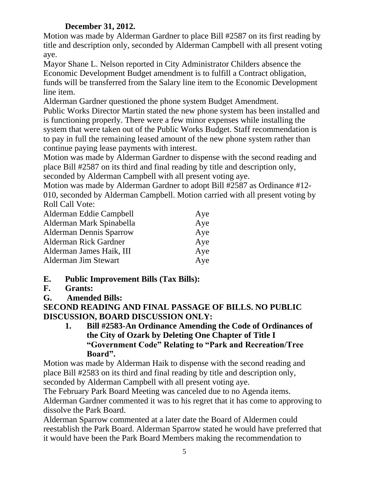# **December 31, 2012.**

Motion was made by Alderman Gardner to place Bill #2587 on its first reading by title and description only, seconded by Alderman Campbell with all present voting aye.

Mayor Shane L. Nelson reported in City Administrator Childers absence the Economic Development Budget amendment is to fulfill a Contract obligation, funds will be transferred from the Salary line item to the Economic Development line item.

Alderman Gardner questioned the phone system Budget Amendment.

Public Works Director Martin stated the new phone system has been installed and is functioning properly. There were a few minor expenses while installing the system that were taken out of the Public Works Budget. Staff recommendation is to pay in full the remaining leased amount of the new phone system rather than continue paying lease payments with interest.

Motion was made by Alderman Gardner to dispense with the second reading and place Bill #2587 on its third and final reading by title and description only, seconded by Alderman Campbell with all present voting aye.

Motion was made by Alderman Gardner to adopt Bill #2587 as Ordinance #12- 010, seconded by Alderman Campbell. Motion carried with all present voting by Roll Call Vote:

| Alderman Eddie Campbell        | Aye |
|--------------------------------|-----|
| Alderman Mark Spinabella       | Aye |
| <b>Alderman Dennis Sparrow</b> | Aye |
| <b>Alderman Rick Gardner</b>   | Aye |
| Alderman James Haik, III       | Aye |
| Alderman Jim Stewart           | Aye |

# **E. Public Improvement Bills (Tax Bills):**

- **F. Grants:**
- **G. Amended Bills:**

**SECOND READING AND FINAL PASSAGE OF BILLS. NO PUBLIC DISCUSSION, BOARD DISCUSSION ONLY:**

**1. Bill #2583-An Ordinance Amending the Code of Ordinances of the City of Ozark by Deleting One Chapter of Title I "Government Code" Relating to "Park and Recreation/Tree Board".**

Motion was made by Alderman Haik to dispense with the second reading and place Bill #2583 on its third and final reading by title and description only, seconded by Alderman Campbell with all present voting aye.

The February Park Board Meeting was canceled due to no Agenda items. Alderman Gardner commented it was to his regret that it has come to approving to dissolve the Park Board.

Alderman Sparrow commented at a later date the Board of Aldermen could reestablish the Park Board. Alderman Sparrow stated he would have preferred that it would have been the Park Board Members making the recommendation to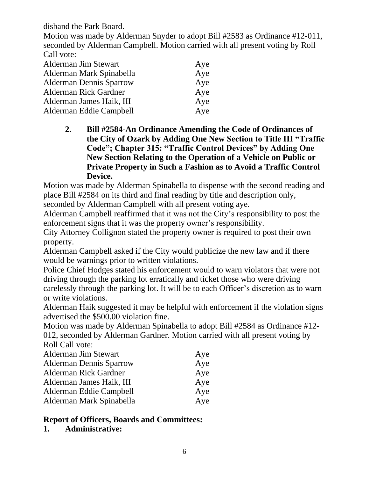disband the Park Board.

Motion was made by Alderman Snyder to adopt Bill #2583 as Ordinance #12-011, seconded by Alderman Campbell. Motion carried with all present voting by Roll Call vote:

| Alderman Jim Stewart           | Aye |
|--------------------------------|-----|
| Alderman Mark Spinabella       | Aye |
| <b>Alderman Dennis Sparrow</b> | Aye |
| <b>Alderman Rick Gardner</b>   | Aye |
| Alderman James Haik, III       | Aye |
| Alderman Eddie Campbell        | Aye |

**2. Bill #2584-An Ordinance Amending the Code of Ordinances of the City of Ozark by Adding One New Section to Title III "Traffic Code"; Chapter 315: "Traffic Control Devices" by Adding One New Section Relating to the Operation of a Vehicle on Public or Private Property in Such a Fashion as to Avoid a Traffic Control Device.**

Motion was made by Alderman Spinabella to dispense with the second reading and place Bill #2584 on its third and final reading by title and description only,

seconded by Alderman Campbell with all present voting aye.

Alderman Campbell reaffirmed that it was not the City's responsibility to post the enforcement signs that it was the property owner's responsibility.

City Attorney Collignon stated the property owner is required to post their own property.

Alderman Campbell asked if the City would publicize the new law and if there would be warnings prior to written violations.

Police Chief Hodges stated his enforcement would to warn violators that were not driving through the parking lot erratically and ticket those who were driving carelessly through the parking lot. It will be to each Officer's discretion as to warn or write violations.

Alderman Haik suggested it may be helpful with enforcement if the violation signs advertised the \$500.00 violation fine.

Motion was made by Alderman Spinabella to adopt Bill #2584 as Ordinance #12- 012, seconded by Alderman Gardner. Motion carried with all present voting by Roll Call vote:

| Alderman Jim Stewart           | Aye |
|--------------------------------|-----|
| <b>Alderman Dennis Sparrow</b> | Aye |
| <b>Alderman Rick Gardner</b>   | Aye |
| Alderman James Haik, III       | Aye |
| Alderman Eddie Campbell        | Aye |
| Alderman Mark Spinabella       | Aye |

#### **Report of Officers, Boards and Committees:**

**1. Administrative:**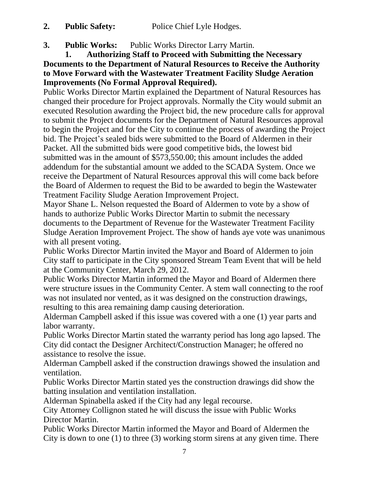**2. Public Safety:** Police Chief Lyle Hodges.

**3. Public Works:** Public Works Director Larry Martin.

**1. Authorizing Staff to Proceed with Submitting the Necessary Documents to the Department of Natural Resources to Receive the Authority to Move Forward with the Wastewater Treatment Facility Sludge Aeration Improvements (No Formal Approval Required).**

Public Works Director Martin explained the Department of Natural Resources has changed their procedure for Project approvals. Normally the City would submit an executed Resolution awarding the Project bid, the new procedure calls for approval to submit the Project documents for the Department of Natural Resources approval to begin the Project and for the City to continue the process of awarding the Project bid. The Project's sealed bids were submitted to the Board of Aldermen in their Packet. All the submitted bids were good competitive bids, the lowest bid submitted was in the amount of \$573,550.00; this amount includes the added addendum for the substantial amount we added to the SCADA System. Once we receive the Department of Natural Resources approval this will come back before the Board of Aldermen to request the Bid to be awarded to begin the Wastewater Treatment Facility Sludge Aeration Improvement Project.

Mayor Shane L. Nelson requested the Board of Aldermen to vote by a show of hands to authorize Public Works Director Martin to submit the necessary documents to the Department of Revenue for the Wastewater Treatment Facility Sludge Aeration Improvement Project. The show of hands aye vote was unanimous with all present voting.

Public Works Director Martin invited the Mayor and Board of Aldermen to join City staff to participate in the City sponsored Stream Team Event that will be held at the Community Center, March 29, 2012.

Public Works Director Martin informed the Mayor and Board of Aldermen there were structure issues in the Community Center. A stem wall connecting to the roof was not insulated nor vented, as it was designed on the construction drawings, resulting to this area remaining damp causing deterioration.

Alderman Campbell asked if this issue was covered with a one (1) year parts and labor warranty.

Public Works Director Martin stated the warranty period has long ago lapsed. The City did contact the Designer Architect/Construction Manager; he offered no assistance to resolve the issue.

Alderman Campbell asked if the construction drawings showed the insulation and ventilation.

Public Works Director Martin stated yes the construction drawings did show the batting insulation and ventilation installation.

Alderman Spinabella asked if the City had any legal recourse.

City Attorney Collignon stated he will discuss the issue with Public Works Director Martin.

Public Works Director Martin informed the Mayor and Board of Aldermen the City is down to one (1) to three (3) working storm sirens at any given time. There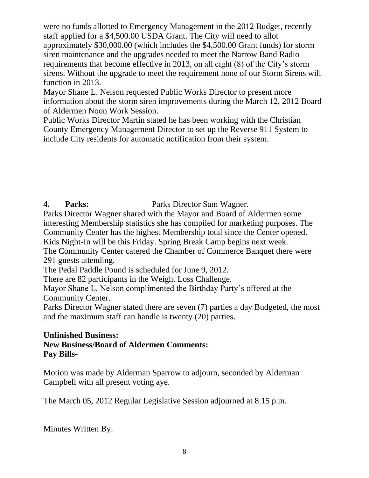were no funds allotted to Emergency Management in the 2012 Budget, recently staff applied for a \$4,500.00 USDA Grant. The City will need to allot approximately \$30,000.00 (which includes the \$4,500.00 Grant funds) for storm siren maintenance and the upgrades needed to meet the Narrow Band Radio requirements that become effective in 2013, on all eight (8) of the City's storm sirens. Without the upgrade to meet the requirement none of our Storm Sirens will function in 2013.

Mayor Shane L. Nelson requested Public Works Director to present more information about the storm siren improvements during the March 12, 2012 Board of Aldermen Noon Work Session.

Public Works Director Martin stated he has been working with the Christian County Emergency Management Director to set up the Reverse 911 System to include City residents for automatic notification from their system.

# **4. Parks:** Parks Director Sam Wagner.

Parks Director Wagner shared with the Mayor and Board of Aldermen some interesting Membership statistics she has compiled for marketing purposes. The Community Center has the highest Membership total since the Center opened. Kids Night-In will be this Friday. Spring Break Camp begins next week.

The Community Center catered the Chamber of Commerce Banquet there were 291 guests attending.

The Pedal Paddle Pound is scheduled for June 9, 2012.

There are 82 participants in the Weight Loss Challenge.

Mayor Shane L. Nelson complimented the Birthday Party's offered at the Community Center.

Parks Director Wagner stated there are seven (7) parties a day Budgeted, the most and the maximum staff can handle is twenty (20) parties.

# **Unfinished Business:**

#### **New Business/Board of Aldermen Comments: Pay Bills-**

Motion was made by Alderman Sparrow to adjourn, seconded by Alderman Campbell with all present voting aye.

The March 05, 2012 Regular Legislative Session adjourned at 8:15 p.m.

Minutes Written By: